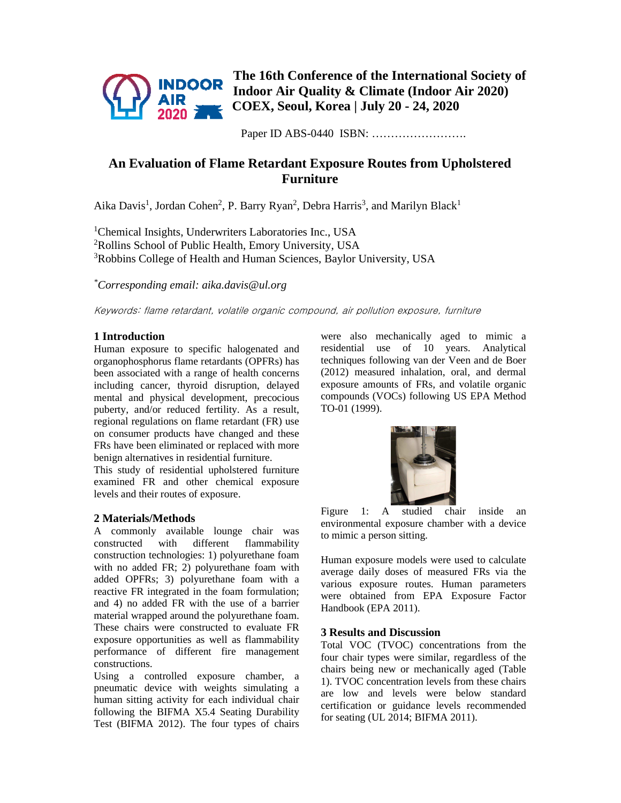

**The 16th Conference of the International Society of Indoor Air Quality & Climate (Indoor Air 2020) COEX, Seoul, Korea | July 20 - 24, 2020** 

Paper ID ABS-0440 ISBN: …………………….

# **An Evaluation of Flame Retardant Exposure Routes from Upholstered Furniture**

Aika Davis<sup>1</sup>, Jordan Cohen<sup>2</sup>, P. Barry Ryan<sup>2</sup>, Debra Harris<sup>3</sup>, and Marilyn Black<sup>1</sup>

<sup>1</sup>Chemical Insights, Underwriters Laboratories Inc., USA <sup>2</sup>Rollins School of Public Health, Emory University, USA <sup>3</sup>Robbins College of Health and Human Sciences, Baylor University, USA

*\*Corresponding email: aika.davis@ul.org*

Keywords: flame retardant, volatile organic compound, air pollution exposure, furniture

## **1 Introduction**

Human exposure to specific halogenated and organophosphorus flame retardants (OPFRs) has been associated with a range of health concerns including cancer, thyroid disruption, delayed mental and physical development, precocious puberty, and/or reduced fertility. As a result, regional regulations on flame retardant (FR) use on consumer products have changed and these FRs have been eliminated or replaced with more benign alternatives in residential furniture.

This study of residential upholstered furniture examined FR and other chemical exposure levels and their routes of exposure.

### **2 Materials/Methods**

A commonly available lounge chair was constructed with different flammability construction technologies: 1) polyurethane foam with no added FR; 2) polyurethane foam with added OPFRs; 3) polyurethane foam with a reactive FR integrated in the foam formulation; and 4) no added FR with the use of a barrier material wrapped around the polyurethane foam. These chairs were constructed to evaluate FR exposure opportunities as well as flammability performance of different fire management constructions.

Using a controlled exposure chamber, a pneumatic device with weights simulating a human sitting activity for each individual chair following the BIFMA X5.4 Seating Durability Test (BIFMA 2012). The four types of chairs were also mechanically aged to mimic a residential use of 10 years. Analytical techniques following van der Veen and de Boer (2012) measured inhalation, oral, and dermal exposure amounts of FRs, and volatile organic compounds (VOCs) following US EPA Method TO-01 (1999).



Figure 1: A studied chair inside an environmental exposure chamber with a device to mimic a person sitting.

Human exposure models were used to calculate average daily doses of measured FRs via the various exposure routes. Human parameters were obtained from EPA Exposure Factor Handbook (EPA 2011).

### **3 Results and Discussion**

Total VOC (TVOC) concentrations from the four chair types were similar, regardless of the chairs being new or mechanically aged (Table 1). TVOC concentration levels from these chairs are low and levels were below standard certification or guidance levels recommended for seating (UL 2014; BIFMA 2011).